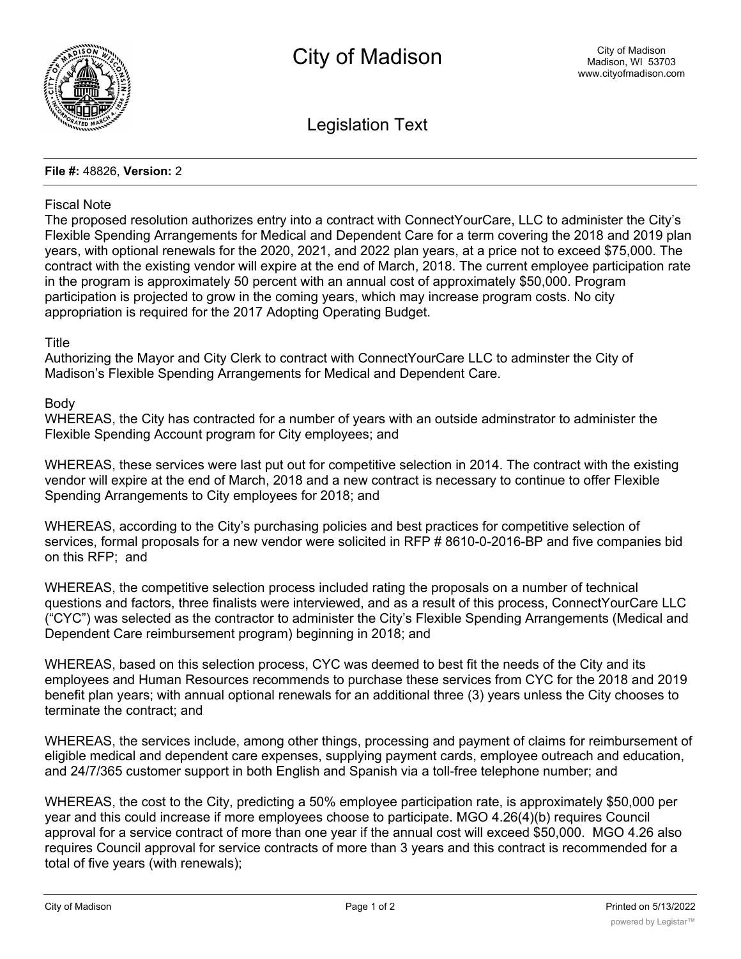

Legislation Text

### **File #:** 48826, **Version:** 2

## Fiscal Note

The proposed resolution authorizes entry into a contract with ConnectYourCare, LLC to administer the City's Flexible Spending Arrangements for Medical and Dependent Care for a term covering the 2018 and 2019 plan years, with optional renewals for the 2020, 2021, and 2022 plan years, at a price not to exceed \$75,000. The contract with the existing vendor will expire at the end of March, 2018. The current employee participation rate in the program is approximately 50 percent with an annual cost of approximately \$50,000. Program participation is projected to grow in the coming years, which may increase program costs. No city appropriation is required for the 2017 Adopting Operating Budget.

# **Title**

Authorizing the Mayor and City Clerk to contract with ConnectYourCare LLC to adminster the City of Madison's Flexible Spending Arrangements for Medical and Dependent Care.

### Body

WHEREAS, the City has contracted for a number of years with an outside adminstrator to administer the Flexible Spending Account program for City employees; and

WHEREAS, these services were last put out for competitive selection in 2014. The contract with the existing vendor will expire at the end of March, 2018 and a new contract is necessary to continue to offer Flexible Spending Arrangements to City employees for 2018; and

WHEREAS, according to the City's purchasing policies and best practices for competitive selection of services, formal proposals for a new vendor were solicited in RFP # 8610-0-2016-BP and five companies bid on this RFP; and

WHEREAS, the competitive selection process included rating the proposals on a number of technical questions and factors, three finalists were interviewed, and as a result of this process, ConnectYourCare LLC ("CYC") was selected as the contractor to administer the City's Flexible Spending Arrangements (Medical and Dependent Care reimbursement program) beginning in 2018; and

WHEREAS, based on this selection process, CYC was deemed to best fit the needs of the City and its employees and Human Resources recommends to purchase these services from CYC for the 2018 and 2019 benefit plan years; with annual optional renewals for an additional three (3) years unless the City chooses to terminate the contract; and

WHEREAS, the services include, among other things, processing and payment of claims for reimbursement of eligible medical and dependent care expenses, supplying payment cards, employee outreach and education, and 24/7/365 customer support in both English and Spanish via a toll-free telephone number; and

WHEREAS, the cost to the City, predicting a 50% employee participation rate, is approximately \$50,000 per year and this could increase if more employees choose to participate. MGO 4.26(4)(b) requires Council approval for a service contract of more than one year if the annual cost will exceed \$50,000. MGO 4.26 also requires Council approval for service contracts of more than 3 years and this contract is recommended for a total of five years (with renewals);